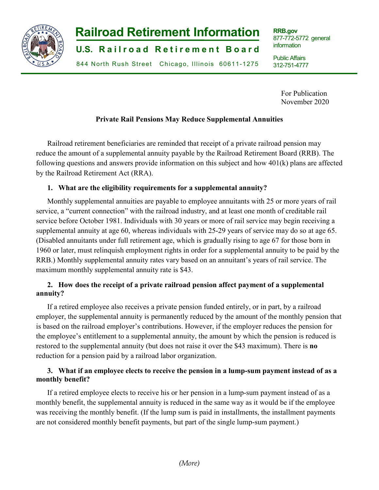

**RRB.gov** 877-772-5772 general information

Public Affairs 312-751-4777

> For Publication November 2020

j

### **Private Rail Pensions May Reduce Supplemental Annuities**

Railroad retirement beneficiaries are reminded that receipt of a private railroad pension may reduce the amount of a supplemental annuity payable by the Railroad Retirement Board (RRB). The following questions and answers provide information on this subject and how 401(k) plans are affected by the Railroad Retirement Act (RRA).

#### **1. What are the eligibility requirements for a supplemental annuity?**

Monthly supplemental annuities are payable to employee annuitants with 25 or more years of rail service, a "current connection" with the railroad industry, and at least one month of creditable rail service before October 1981. Individuals with 30 years or more of rail service may begin receiving a supplemental annuity at age 60, whereas individuals with 25-29 years of service may do so at age 65. (Disabled annuitants under full retirement age, which is gradually rising to age 67 for those born in 1960 or later, must relinquish employment rights in order for a supplemental annuity to be paid by the RRB.) Monthly supplemental annuity rates vary based on an annuitant's years of rail service. The maximum monthly supplemental annuity rate is \$43.

## **2. How does the receipt of a private railroad pension affect payment of a supplemental annuity?**

If a retired employee also receives a private pension funded entirely, or in part, by a railroad employer, the supplemental annuity is permanently reduced by the amount of the monthly pension that is based on the railroad employer's contributions. However, if the employer reduces the pension for the employee's entitlement to a supplemental annuity, the amount by which the pension is reduced is restored to the supplemental annuity (but does not raise it over the \$43 maximum). There is **no** reduction for a pension paid by a railroad labor organization.

## **3. What if an employee elects to receive the pension in a lump-sum payment instead of as a monthly benefit?**

If a retired employee elects to receive his or her pension in a lump-sum payment instead of as a monthly benefit, the supplemental annuity is reduced in the same way as it would be if the employee was receiving the monthly benefit. (If the lump sum is paid in installments, the installment payments are not considered monthly benefit payments, but part of the single lump-sum payment.)